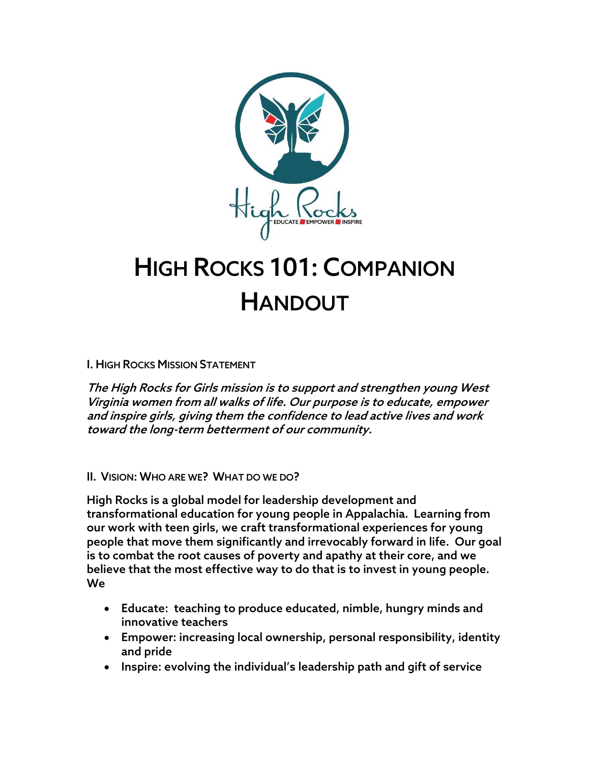

# HIGH ROCKS 101: COMPANION HANDOUT

I. HIGH ROCKS MISSION STATEMENT

The High Rocks for Girls mission is to support and strengthen young West Virginia women from all walks of life. Our purpose is to educate, empower and inspire girls, giving them the confidence to lead active lives and work toward the long-term betterment of our community.

#### II. VISION: WHO ARE WE? WHAT DO WE DO?

High Rocks is a global model for leadership development and transformational education for young people in Appalachia. Learning from our work with teen girls, we craft transformational experiences for young people that move them significantly and irrevocably forward in life. Our goal is to combat the root causes of poverty and apathy at their core, and we believe that the most effective way to do that is to invest in young people. We

- Educate: teaching to produce educated, nimble, hungry minds and innovative teachers
- Empower: increasing local ownership, personal responsibility, identity and pride
- Inspire: evolving the individual's leadership path and gift of service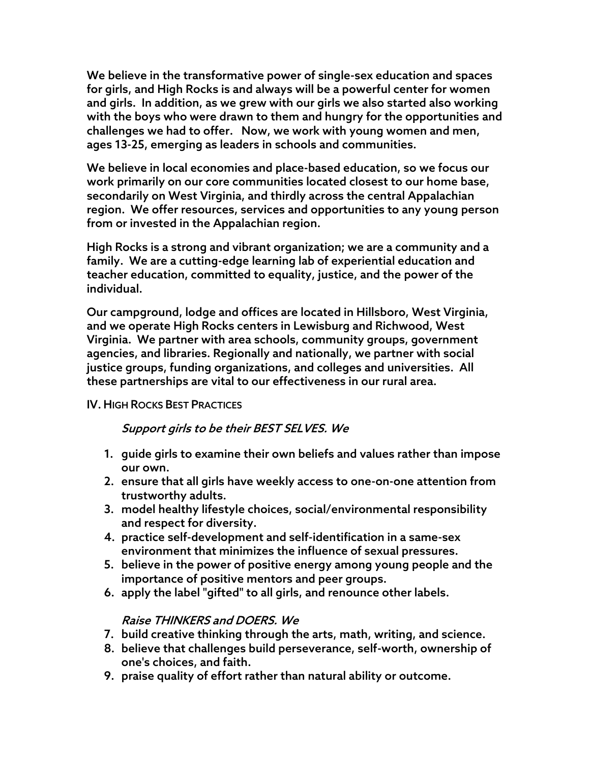We believe in the transformative power of single-sex education and spaces for girls, and High Rocks is and always will be a powerful center for women and girls. In addition, as we grew with our girls we also started also working with the boys who were drawn to them and hungry for the opportunities and challenges we had to offer. Now, we work with young women and men, ages 13-25, emerging as leaders in schools and communities.

We believe in local economies and place-based education, so we focus our work primarily on our core communities located closest to our home base, secondarily on West Virginia, and thirdly across the central Appalachian region. We offer resources, services and opportunities to any young person from or invested in the Appalachian region.

High Rocks is a strong and vibrant organization; we are a community and a family. We are a cutting-edge learning lab of experiential education and teacher education, committed to equality, justice, and the power of the individual.

Our campground, lodge and offices are located in Hillsboro, West Virginia, and we operate High Rocks centers in Lewisburg and Richwood, West Virginia. We partner with area schools, community groups, government agencies, and libraries. Regionally and nationally, we partner with social justice groups, funding organizations, and colleges and universities. All these partnerships are vital to our effectiveness in our rural area.

## IV. HIGH ROCKS BEST PRACTICES

## Support girls to be their BEST SELVES. We

- 1. guide girls to examine their own beliefs and values rather than impose our own.
- 2. ensure that all girls have weekly access to one-on-one attention from trustworthy adults.
- 3. model healthy lifestyle choices, social/environmental responsibility and respect for diversity.
- 4. practice self-development and self-identification in a same-sex environment that minimizes the influence of sexual pressures.
- 5. believe in the power of positive energy among young people and the importance of positive mentors and peer groups.
- 6. apply the label "gifted" to all girls, and renounce other labels.

# Raise THINKERS and DOERS. We

- 7. build creative thinking through the arts, math, writing, and science.
- 8. believe that challenges build perseverance, self-worth, ownership of one's choices, and faith.
- 9. praise quality of effort rather than natural ability or outcome.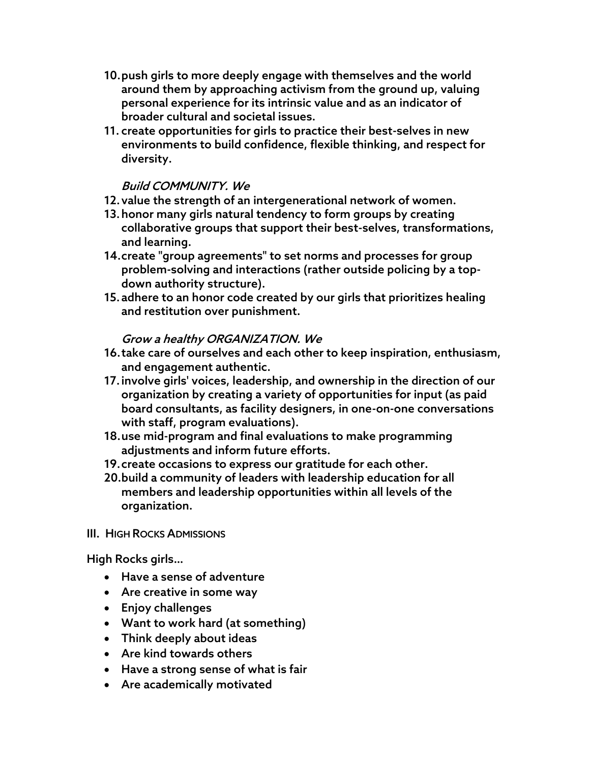- 10.push girls to more deeply engage with themselves and the world around them by approaching activism from the ground up, valuing personal experience for its intrinsic value and as an indicator of broader cultural and societal issues.
- 11. create opportunities for girls to practice their best-selves in new environments to build confidence, flexible thinking, and respect for diversity.

# Build COMMUNITY. We

- 12.value the strength of an intergenerational network of women.
- 13.honor many girls natural tendency to form groups by creating collaborative groups that support their best-selves, transformations, and learning.
- 14.create "group agreements" to set norms and processes for group problem-solving and interactions (rather outside policing by a topdown authority structure).
- 15.adhere to an honor code created by our girls that prioritizes healing and restitution over punishment.

### Grow a healthy ORGANIZATION. We

- 16.take care of ourselves and each other to keep inspiration, enthusiasm, and engagement authentic.
- 17.involve girls' voices, leadership, and ownership in the direction of our organization by creating a variety of opportunities for input (as paid board consultants, as facility designers, in one-on-one conversations with staff, program evaluations).
- 18.use mid-program and final evaluations to make programming adjustments and inform future efforts.
- 19.create occasions to express our gratitude for each other.
- 20.build a community of leaders with leadership education for all members and leadership opportunities within all levels of the organization.

#### III. HIGH ROCKS ADMISSIONS

High Rocks girls…

- Have a sense of adventure
- Are creative in some way
- Enjoy challenges
- Want to work hard (at something)
- Think deeply about ideas
- Are kind towards others
- Have a strong sense of what is fair
- Are academically motivated